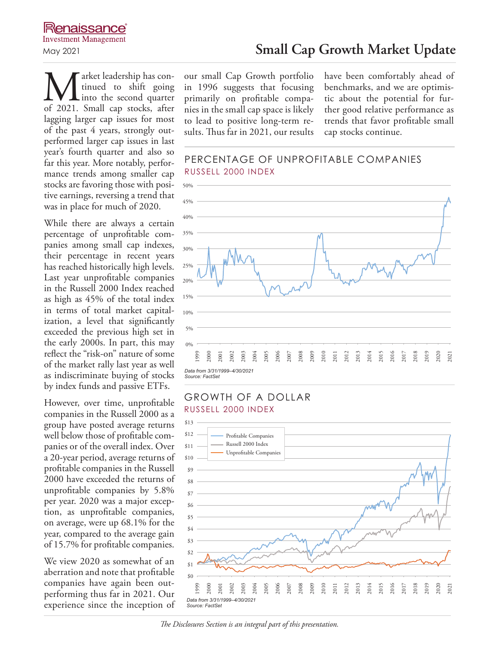**M** arket leadership has con-<br>into the second quarter<br>of 2021. Small cap stocks, after tinued to shift going into the second quarter lagging larger cap issues for most of the past 4 years, strongly outperformed larger cap issues in last year's fourth quarter and also so far this year. More notably, performance trends among smaller cap stocks are favoring those with positive earnings, reversing a trend that was in place for much of 2020.

While there are always a certain percentage of unprofitable companies among small cap indexes, their percentage in recent years has reached historically high levels. Last year unprofitable companies in the Russell 2000 Index reached as high as 45% of the total index in terms of total market capitalization, a level that significantly exceeded the previous high set in the early 2000s. In part, this may reflect the "risk-on" nature of some of the market rally last year as well as indiscriminate buying of stocks by index funds and passive ETFs.

However, over time, unprofitable companies in the Russell 2000 as a group have posted average returns well below those of profitable companies or of the overall index. Over a 20-year period, average returns of profitable companies in the Russell 2000 have exceeded the returns of unprofitable companies by 5.8% per year. 2020 was a major exception, as unprofitable companies, on average, were up 68.1% for the year, compared to the average gain of 15.7% for profitable companies.

We view 2020 as somewhat of an aberration and note that profitable companies have again been outperforming thus far in 2021. Our experience since the inception of our small Cap Growth portfolio in 1996 suggests that focusing primarily on profitable companies in the small cap space is likely to lead to positive long-term results. Thus far in 2021, our results

have been comfortably ahead of benchmarks, and we are optimistic about the potential for further good relative performance as trends that favor profitable small cap stocks continue.

### PERCENTAGE OF UNPROFITABLE COMPANIES RUSSELL 2000 INDEX



### GROWTH OF A DOLLAR RUSSELL 2000 INDEX



#### *The Disclosures Section is an integral part of this presentation.*